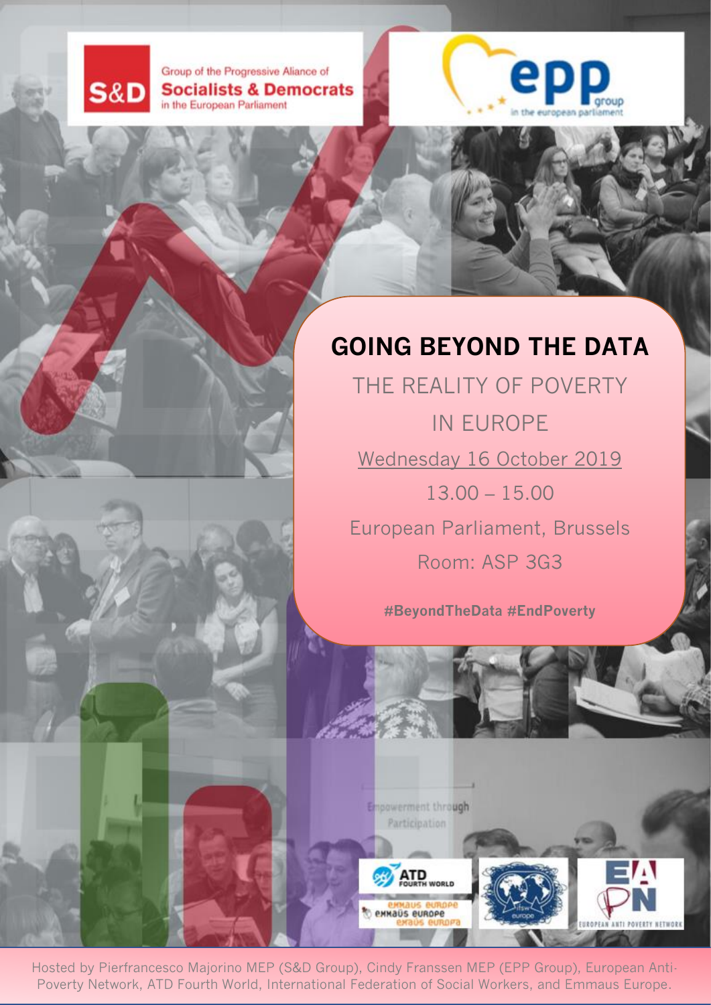

Group of the Progressive Aliance of **Socialists & Democrats** in the European Parliament



### **GOING BEYOND THE DATA**

THE REALITY OF POVERTY IN EUROPE Wednesday 16 October 2019 13.00 – 15.00 European Parliament, Brussels Room: ASP 3G3

**#BeyondTheData #EndPoverty**

 $\exists \mathbf{A}$ 

Hosted by Pierfrancesco Majorino MEP (S&D Group), Cindy Franssen MEP (EPP Group), European Anti-Poverty Network, ATD Fourth World, International Federation of Social Workers, and Emmaus Europe.

Enoquerment through Participation

ATD<br>FOURTH WORLD

**ENNAUS BURD**<br>**ENNAUS BURDPE**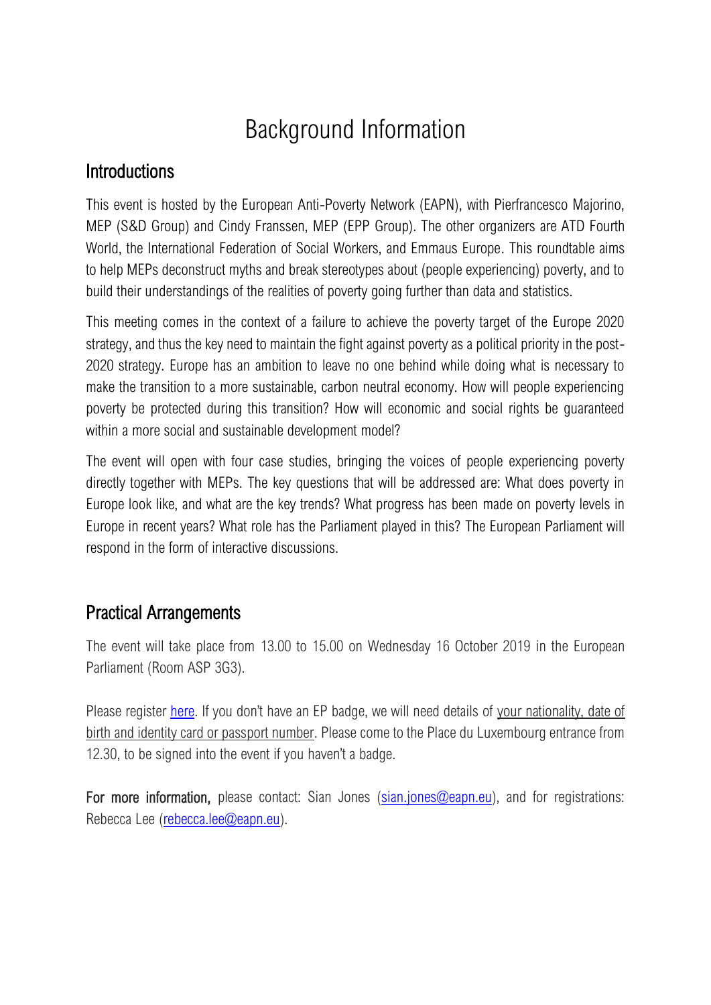## Background Information

#### **Introductions**

This event is hosted by the European Anti-Poverty Network (EAPN), with Pierfrancesco Majorino, MEP (S&D Group) and Cindy Franssen, MEP (EPP Group). The other organizers are ATD Fourth World, the International Federation of Social Workers, and Emmaus Europe. This roundtable aims to help MEPs deconstruct myths and break stereotypes about (people experiencing) poverty, and to build their understandings of the realities of poverty going further than data and statistics.

This meeting comes in the context of a failure to achieve the poverty target of the Europe 2020 strategy, and thus the key need to maintain the fight against poverty as a political priority in the post-2020 strategy. Europe has an ambition to leave no one behind while doing what is necessary to make the transition to a more sustainable, carbon neutral economy. How will people experiencing poverty be protected during this transition? How will economic and social rights be guaranteed within a more social and sustainable development model?

The event will open with four case studies, bringing the voices of people experiencing poverty directly together with MEPs. The key questions that will be addressed are: What does poverty in Europe look like, and what are the key trends? What progress has been made on poverty levels in Europe in recent years? What role has the Parliament played in this? The European Parliament will respond in the form of interactive discussions.

#### Practical Arrangements

The event will take place from 13.00 to 15.00 on Wednesday 16 October 2019 in the European Parliament (Room ASP 3G3).

Please register [here](https://forms.gle/tCcfza6fFybaJ8kH7). If you don't have an EP badge, we will need details of your nationality, date of birth and identity card or passport number. Please come to the Place du Luxembourg entrance from 12.30, to be signed into the event if you haven't a badge.

For more information, please contact: Sian Jones [\(sian.jones@eapn.eu\)](mailto:sian.jones@eapn.eu), and for registrations: Rebecca Lee [\(rebecca.lee@eapn.eu\)](mailto:rebecca.lee@eapn.eu).